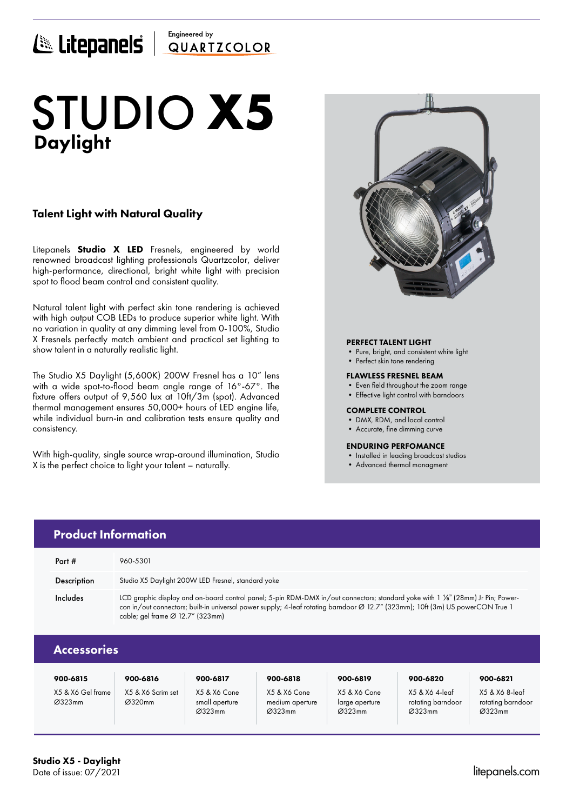## Engineered by E Litepanels QUARTICOLOR

# Daylight STUDIO **X5**

## Talent Light with Natural Quality

Litepanels **Studio X LED** Fresnels, engineered by world renowned broadcast lighting professionals Quartzcolor, deliver high-performance, directional, bright white light with precision spot to flood beam control and consistent quality.

Natural talent light with perfect skin tone rendering is achieved with high output COB LEDs to produce superior white light. With no variation in quality at any dimming level from 0-100%, Studio X Fresnels perfectly match ambient and practical set lighting to show talent in a naturally realistic light.

The Studio X5 Daylight (5,600K) 200W Fresnel has a 10" lens with a wide spot-to-flood beam angle range of 16°-67°. The fixture offers output of 9,560 lux at 10ft/3m (spot). Advanced thermal management ensures 50,000+ hours of LED engine life, while individual burn-in and calibration tests ensure quality and consistency.

With high-quality, single source wrap-around illumination, Studio X is the perfect choice to light your talent – naturally.



### PERFECT TALENT LIGHT

- Pure, bright, and consistent white light
- Perfect skin tone rendering

#### FLAWLESS FRESNEL BEAM

- Even field throughout the zoom range
- Effective light control with barndoors

#### COMPLETE CONTROL

- DMX, RDM, and local control
- Accurate, fine dimming curve

### ENDURING PERFOMANCE

- Installed in leading broadcast studios
- Advanced thermal managment

|                    | <b>Product Information</b>                                                                                                                                                                                                                                                                                       |  |  |  |
|--------------------|------------------------------------------------------------------------------------------------------------------------------------------------------------------------------------------------------------------------------------------------------------------------------------------------------------------|--|--|--|
| Part #             | 960-5301                                                                                                                                                                                                                                                                                                         |  |  |  |
| Description        | Studio X5 Daylight 200W LED Fresnel, standard yoke                                                                                                                                                                                                                                                               |  |  |  |
| Includes           | LCD graphic display and on-board control panel; 5-pin RDM-DMX in/out connectors; standard yoke with 1 %" (28mm) Jr Pin; Power-<br>con in/out connectors; built-in universal power supply; 4-leaf rotating barndoor Ø 12.7" (323mm); 10ft (3m) US powerCON True 1<br>cable; gel frame $\varnothing$ 12.7" (323mm) |  |  |  |
| <b>Accessories</b> |                                                                                                                                                                                                                                                                                                                  |  |  |  |

| 900-6815                    | 900-6816                    | 900-6817                                 | 900-6818                                  | 900-6819                                 | 900-6820                                      | 900-6821                                      |
|-----------------------------|-----------------------------|------------------------------------------|-------------------------------------------|------------------------------------------|-----------------------------------------------|-----------------------------------------------|
| X5 & X6 Gel frame<br>Ø323mm | X5 & X6 Scrim set<br>Ø320mm | X5 & X6 Cone<br>small aperture<br>Ø323mm | X5 & X6 Cone<br>medium aperture<br>Ø323mm | X5 & X6 Cone<br>large aperture<br>Ø323mm | X5 & X6 4-leaf<br>rotating barndoor<br>Ø323mm | X5 & X6 8-leaf<br>rotating barndoor<br>Ø323mm |